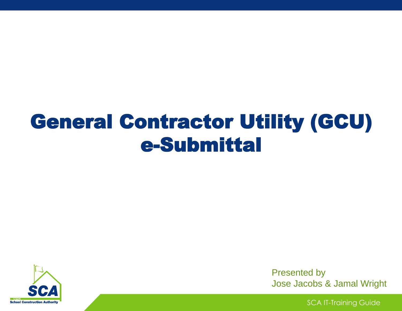# General Contractor Utility (GCU) e-Submittal



Presented by Jose Jacobs & Jamal Wright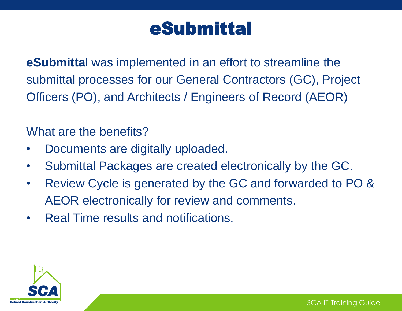## eSubmittal

**eSubmitta**l was implemented in an effort to streamline the submittal processes for our General Contractors (GC), Project Officers (PO), and Architects / Engineers of Record (AEOR)

#### What are the benefits?

- Documents are digitally uploaded.
- Submittal Packages are created electronically by the GC.
- Review Cycle is generated by the GC and forwarded to PO & AEOR electronically for review and comments.
- Real Time results and notifications.

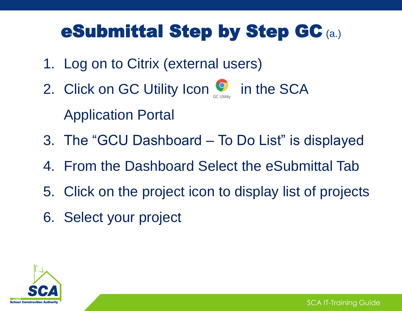## eSubmittal Step by Step GC (a.)

- 1. Log on to Citrix (external users)
- 2. Click on GC Utility Icon **of the SCA** Application Portal
- 3. The "GCU Dashboard To Do List" is displayed
- 4. From the Dashboard Select the eSubmittal Tab
- 5. Click on the project icon to display list of projects
- 6. Select your project

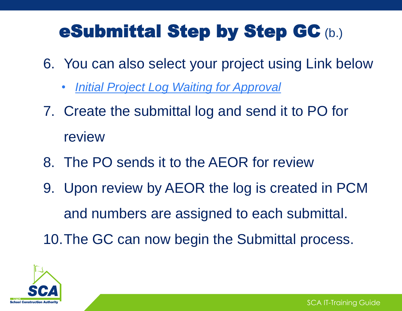## eSubmittal Step by Step GC (b.)

- 6. You can also select your project using Link below
	- *Initial Project Log Waiting for Approval*
- 7. Create the submittal log and send it to PO for review
- 8. The PO sends it to the AEOR for review
- 9. Upon review by AEOR the log is created in PCM and numbers are assigned to each submittal. 10.The GC can now begin the Submittal process.

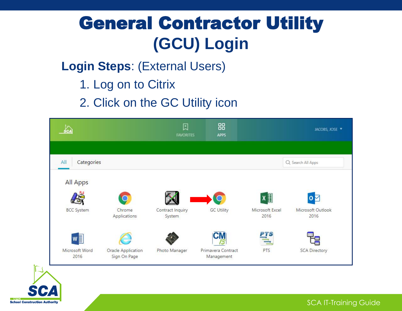## General Contractor Utility **(GCU) Login**

### **Login Steps**: (External Users)

1. Log on to Citrix

**ENVCI** 

**School Construction Authority** 

2. Click on the GC Utility icon

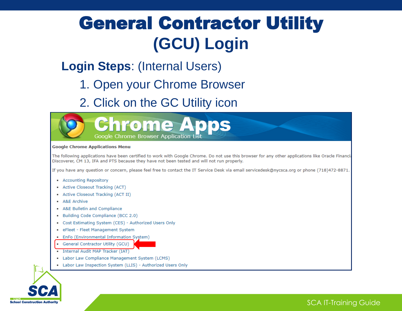## General Contractor Utility **(GCU) Login**

### **Login Steps**: (Internal Users)

### 1. Open your Chrome Browser

2. Click on the GC Utility icon



#### **Google Chrome Applications Menu**

The following applications have been certified to work with Google Chrome. Do not use this browser for any other applications like Oracle Financia Discoverer, CM 13, IFA and PTS because they have not been tested and will not run properly.

If you have any question or concern, please feel free to contact the IT Service Desk via email servicedesk@nycsca.org or phone (718)472-8871.

- Accounting Repository
- Active Closeout Tracking (ACT)
- Active Closeout Tracking (ACT II)
- A&E Archive
- A&E Bulletin and Compliance
- Building Code Compliance (BCC 2.0)
- Cost Estimating System (CES) Authorized Users Only
- · eFleet Fleet Management System
- EnFo (Environmental Information System)
- $\blacksquare$ General Contractor Utility (GCU)
- Internal Audit MAP Tracker (IAT)
- Labor Law Compliance Management System (LCMS)
- Labor Law Inspection System (LLIS) Authorized Users Only

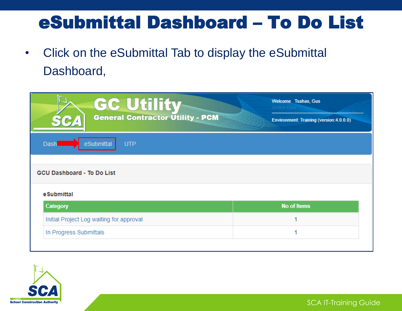## eSubmittal Dashboard – To Do List

• Click on the eSubmittal Tab to display the eSubmittal Dashboard,

| <b>GC Utility</b><br><b>General Contractor Utility - PCM</b><br>564<br>eSubmittal<br><b>UTP</b><br><b>Dash</b> | Welcome Tsahas, Gus<br>Switch User<br>Environment: Training (version: 4.0.0.0) |
|----------------------------------------------------------------------------------------------------------------|--------------------------------------------------------------------------------|
| <b>GCU Dashboard - To Do List</b>                                                                              |                                                                                |
| eSubmittal                                                                                                     |                                                                                |
| Category                                                                                                       | <b>No of Items</b>                                                             |
| Initial Project Log waiting for approval                                                                       |                                                                                |
| In Progress Submittals                                                                                         |                                                                                |

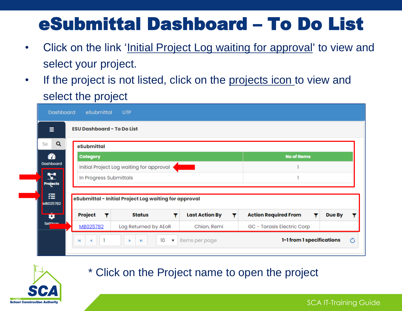## eSubmittal Dashboard – To Do List

- Click on the link 'Initial Project Log waiting for approval' to view and select your project.
- If the project is not listed, click on the projects icon to view and select the project

|                       | <b>ESU Dashboard - To Do List</b> |                                                       |                                                                                                                |                             |        |
|-----------------------|-----------------------------------|-------------------------------------------------------|----------------------------------------------------------------------------------------------------------------|-----------------------------|--------|
| Q<br>Se               | eSubmittal                        |                                                       |                                                                                                                |                             |        |
| ☎                     | <b>Category</b>                   |                                                       |                                                                                                                | <b>No of Items</b>          |        |
| <b>Dashboard</b>      |                                   | Initial Project Log waiting for approval              | and the state of the state of the state of the state of the state of the state of the state of the state of th |                             |        |
| 51<br><b>Projects</b> | In Progress Submittals            |                                                       |                                                                                                                |                             |        |
| 狂                     |                                   | eSubmittal - Initial Project Log waiting for approval |                                                                                                                |                             |        |
| MB025782              |                                   |                                                       |                                                                                                                |                             |        |
| ₽                     | Project                           | <b>Status</b>                                         | <b>Last Action By</b><br>Y<br>Y                                                                                | <b>Action Required From</b> | Due By |



#### \* Click on the Project name to open the project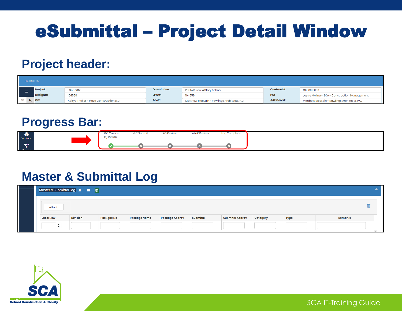## eSubmittal – Project Detail Window

### **Project header:**

|   | <b>ESUBMITTAL</b> |                                        |                     |                                             |                       |                                               |
|---|-------------------|----------------------------------------|---------------------|---------------------------------------------|-----------------------|-----------------------------------------------|
| Ξ | Project:          | PS557K02                               | <b>Description:</b> | PS557K New 4 Story School                   | Contract#:            | C000015330                                    |
|   | Design#:          | 104559                                 | $LLW#$ :            | 104559                                      | PO:                   | Jessie Molina - SCA - Construction Management |
|   | Q GC:             | Aditya Thaker - Plaza Construction LLC | AEoR:               | Matthew MccLain - Rawlings Architects, P.C. | <b>A&amp;E Coord:</b> | Matthew MccLain - Rawlings Architects, P.C.   |

#### **Progress Bar:**



#### **Master & Submittal Log**

| Master & Submittal Log 2 1 1 0 1 |                 |            |                     |                       |          |                        |          |      |                |
|----------------------------------|-----------------|------------|---------------------|-----------------------|----------|------------------------|----------|------|----------------|
| Attach                           |                 |            |                     |                       |          |                        |          |      | 画              |
| <b>Excel Row</b>                 | <b>Division</b> | Packgae No | <b>Package Name</b> | <b>Package Abbrev</b> | Submital | <b>Submital Abbrev</b> | Category | Type | <b>Remarks</b> |
| $\blacktriangle$<br>$\mathbf{v}$ |                 |            |                     |                       |          |                        |          |      |                |

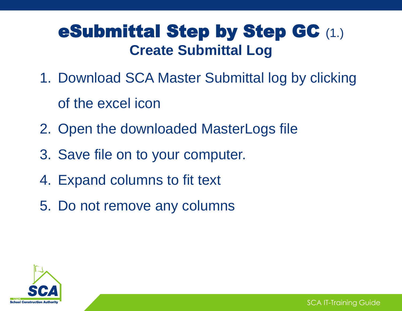### eSubmittal Step by Step GC (1.) **Create Submittal Log**

- 1. Download SCA Master Submittal log by clicking of the excel icon
- 2. Open the downloaded MasterLogs file
- 3. Save file on to your computer.
- 4. Expand columns to fit text
- 5. Do not remove any columns

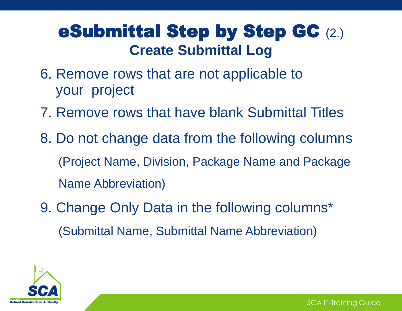### eSubmittal Step by Step GC (2.) **Create Submittal Log**

- 6. Remove rows that are not applicable to your project
- 7. Remove rows that have blank Submittal Titles
- 8. Do not change data from the following columns (Project Name, Division, Package Name and Package Name Abbreviation)
- 9. Change Only Data in the following columns\* (Submittal Name, Submittal Name Abbreviation)

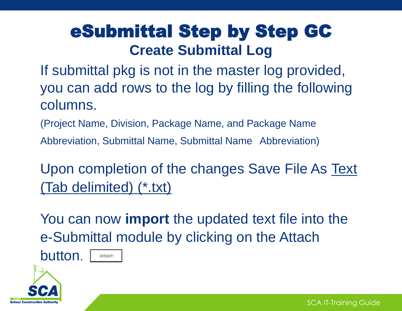### eSubmittal Step by Step GC **Create Submittal Log**

If submittal pkg is not in the master log provided, you can add rows to the log by filling the following columns.

(Project Name, Division, Package Name, and Package Name Abbreviation, Submittal Name, Submittal Name Abbreviation)

Upon completion of the changes Save File As Text (Tab delimited) (\*.txt)

You can now **import** the updated text file into the e-Submittal module by clicking on the Attach

button.

**School Construction Auth** 

Attach

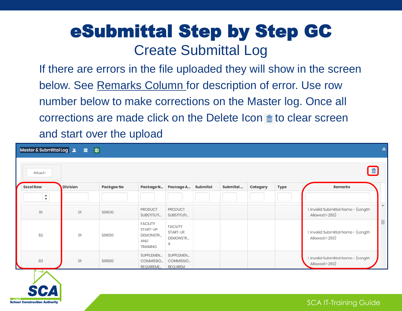### eSubmittal Step by Step GC Create Submittal Log

If there are errors in the file uploaded they will show in the screen below. See Remarks Column for description of error. Use row number below to make corrections on the Master log. Once all corrections are made click on the Delete Icon  $\blacksquare$  to clear screen and start over the upload

| Master & Submittal Log <sup>2</sup><br>Attach | 價               | 四          |                                                                           |                                                      |                 |          |          |             | 面                                                     |
|-----------------------------------------------|-----------------|------------|---------------------------------------------------------------------------|------------------------------------------------------|-----------------|----------|----------|-------------|-------------------------------------------------------|
| <b>Excel Row</b>                              | <b>Division</b> | Packgae No | Package N                                                                 | Package A                                            | <b>Submital</b> | Submital | Category | <b>Type</b> | <b>Remarks</b>                                        |
| ▲<br>v                                        |                 |            |                                                                           |                                                      |                 |          |          |             |                                                       |
| 81                                            | O <sub>1</sub>  | S01630     | <b>PRODUCT</b><br>SUBSTITUTI                                              | <b>PRODUCT</b><br>SUBSTITUTI                         |                 |          |          |             | 1. Invalid Submittal Name - (Length<br>Allowed 1-250) |
| 82                                            | 01              | S01650     | <b>FACILITY</b><br>START-UP,<br><b>DEMONSTR</b><br>AND<br><b>TRAINING</b> | <b>FACILITY</b><br>START-UP,<br><b>DEMONSTR</b><br>А |                 |          |          |             | 1. Invalid Submittal Name - (Length<br>Allowed 1-250) |
| 83                                            | -01             | S01660     | SUPPLEMEN<br>COMMISSIO<br><b>REQUIREME</b>                                | SUPPLEMEN<br>COMMISSIO<br><b>REQUIREM</b>            |                 |          |          |             | 1. Invalid Submittal Name - (Length<br>Allowed 1-250) |

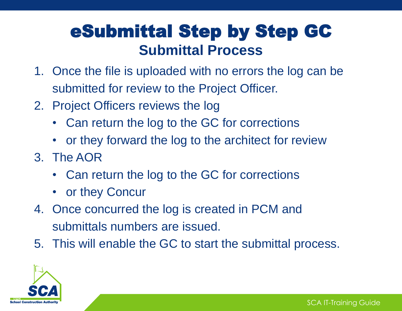### eSubmittal Step by Step GC **Submittal Process**

- 1. Once the file is uploaded with no errors the log can be submitted for review to the Project Officer.
- 2. Project Officers reviews the log
	- Can return the log to the GC for corrections
	- or they forward the log to the architect for review
- 3. The AOR
	- Can return the log to the GC for corrections
	- or they Concur
- 4. Once concurred the log is created in PCM and submittals numbers are issued.
- 5. This will enable the GC to start the submittal process.

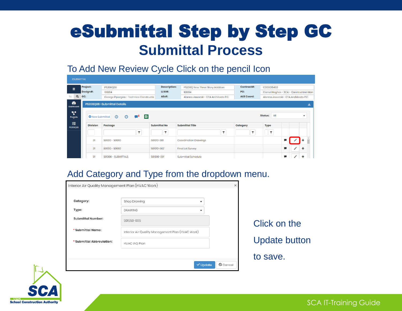### eSubmittal Step by Step GC **Submittal Process**

#### To Add New Review Cycle Click on the pencil Icon

| <b>ESUBMITTAL</b>             |          |                        |                                         |                     |                                       |                       |                                        |   |               |                          |  |
|-------------------------------|----------|------------------------|-----------------------------------------|---------------------|---------------------------------------|-----------------------|----------------------------------------|---|---------------|--------------------------|--|
| Ξ                             | Project: |                        | PS206Q06                                | <b>Description:</b> | PS206Q New Three Story Addition       | Contract#:            | C000015492                             |   |               |                          |  |
|                               |          | Design#:               | 108814                                  | $LLW#$ :            | 108814                                | PO:                   | Cornel Heghes - SCA - Construction Man |   |               |                          |  |
| $\alpha$<br>Se                | GC:      |                        | George Pipergias - Technico Constructic | AEoR:               | Alanna Jaworski - CTA Architects P.C. | <b>A&amp;E Coord:</b> | Alanna Jaworski - CTA Architects P.C.  |   |               |                          |  |
| $\bullet$<br><b>Dashboard</b> |          |                        | PS206Q06-Submittal Details              |                     |                                       |                       |                                        |   |               | $\overline{\phantom{a}}$ |  |
| A.<br>Projects                |          | <b>O</b> New Submittal | 四<br>$\odot$<br>$\odot$                 |                     |                                       |                       | All<br>Status:                         |   |               | ÷                        |  |
| 狂<br>PS206Q06                 |          | <b>Division</b>        | Package                                 | <b>Submittal No</b> | <b>Submittal Title</b>                | Category              | <b>Type</b>                            |   |               |                          |  |
|                               |          |                        |                                         |                     | Y                                     | ۳                     | $\mathbf \mathbf v$                    |   |               |                          |  |
|                               |          | O1                     | S01010 - S01010                         | S01010-001          | <b>Coordination Drawings</b>          |                       |                                        |   |               |                          |  |
|                               |          | O <sub>1</sub>         | S01010 - S01010                         | S01010-002          | <b>Final Lot Survey</b>               |                       |                                        | C | $\mathscr{E}$ | ٠                        |  |
|                               |          | O1                     | S01300 - SUBMITTALS                     | S01300-001          | Submittal Schedule                    |                       |                                        | U |               |                          |  |

#### Add Category and Type from the dropdown menu.

| Category:                 | Shop Drawing                                     | $\blacksquare$ |                     |
|---------------------------|--------------------------------------------------|----------------|---------------------|
| Type:                     | <b>DRAWING</b>                                   | ▼              |                     |
| <b>Submittal Number:</b>  | S01550-005                                       |                | Click on the        |
| * Submittal Name:         | Interior Air Quality Management Plan (HVAC Work) |                |                     |
| * Submittal Abbreviation: | <b>HVAC IAQ Plan</b>                             |                | <b>Update butte</b> |
|                           |                                                  |                | to save.            |



SCA IT-Training Guide

button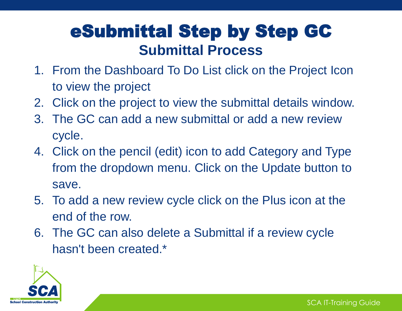### eSubmittal Step by Step GC **Submittal Process**

- 1. From the Dashboard To Do List click on the Project Icon to view the project
- 2. Click on the project to view the submittal details window.
- 3. The GC can add a new submittal or add a new review cycle.
- 4. Click on the pencil (edit) icon to add Category and Type from the dropdown menu. Click on the Update button to save.
- 5. To add a new review cycle click on the Plus icon at the end of the row.
- 6. The GC can also delete a Submittal if a review cycle hasn't been created.\*

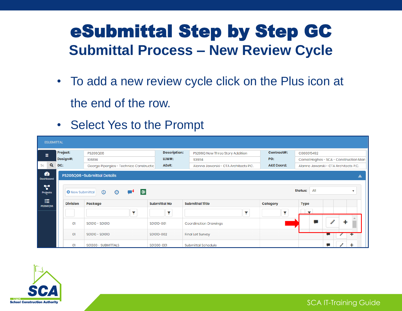### eSubmittal Step by Step GC **Submittal Process – New Review Cycle**

- To add a new review cycle click on the Plus icon at the end of the row.
- Select Yes to the Prompt

| <b>ESUBMITTAL</b>             |     |                        |                                         |                     |                                       |                       |                                        |
|-------------------------------|-----|------------------------|-----------------------------------------|---------------------|---------------------------------------|-----------------------|----------------------------------------|
| Ξ                             |     | Project:               | PS206Q06                                | <b>Description:</b> | PS206Q New Three Story Addition       | Contract#:            | C000015492                             |
|                               |     | Design#:               | 108814                                  | $LLW#$ :            | 108814                                | PO:                   | Cornel Heghes - SCA - Construction Man |
| $\alpha$<br>Se                | GC: |                        | George Pipergias - Technico Constructic | AEoR:               | Alanna Jaworski - CTA Architects P.C. | <b>A&amp;E Coord:</b> | Alanna Jaworski - CTA Architects P.C.  |
| $\bullet$<br><b>Dashboard</b> |     |                        | PS206Q06-Submittal Details              |                     |                                       |                       |                                        |
| z.<br>Projects                |     | <b>O</b> New Submittal | 四<br>$\odot$<br>◉<br>- 7                |                     |                                       |                       | All<br><b>Status:</b><br>v             |
| 狂<br>PS206Q06                 |     | <b>Division</b>        | Package                                 | <b>Submittal No</b> | <b>Submittal Title</b>                | <b>Category</b>       | <b>Type</b>                            |
|                               |     |                        |                                         |                     | Y                                     |                       | $\overline{\phantom{a}}$               |
|                               |     | O1                     | S01010 - S01010                         | S01010-001          | <b>Coordination Drawings</b>          |                       |                                        |
|                               |     | O1                     | S01010 - S01010                         | S01010-002          | <b>Final Lot Survey</b>               |                       |                                        |
|                               |     | O <sub>1</sub>         | S01300 - SUBMITTALS                     | S01300-001          | Submittal Schedule                    |                       | U                                      |

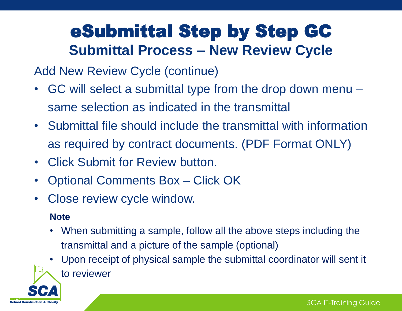### eSubmittal Step by Step GC **Submittal Process – New Review Cycle**

Add New Review Cycle (continue)

- GC will select a submittal type from the drop down menu same selection as indicated in the transmittal
- Submittal file should include the transmittal with information as required by contract documents. (PDF Format ONLY)
- Click Submit for Review button.
- Optional Comments Box Click OK
- Close review cycle window.

#### **Note**

**School Construction Auth** 

- When submitting a sample, follow all the above steps including the transmittal and a picture of the sample (optional)
- Upon receipt of physical sample the submittal coordinator will sent it to reviewer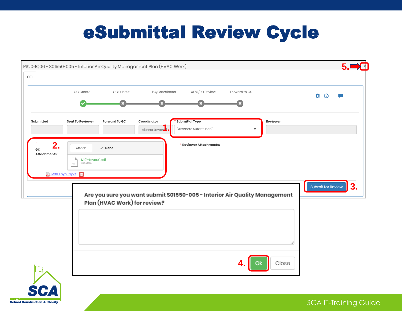## eSubmittal Review Cycle

|                          | GC Create                                      | GC Submit                    | PO/Coordinator                                | AEoR/PO Review                                                            | Forward to GC |             | Ö.<br>$\odot$                  |
|--------------------------|------------------------------------------------|------------------------------|-----------------------------------------------|---------------------------------------------------------------------------|---------------|-------------|--------------------------------|
| Submitted                | <b>Sent To Reviewer</b>                        | <b>Forward To GC</b>         | Coordinator<br>Alanna Jawors <mark>.</mark> i | <b>Submittal Type</b><br>"Alternate Substitution"                         |               | Reviewer    |                                |
| 2.<br>GC<br>Attachments: | Attach<br>M101-Layout1.pdf<br>MIOI-Layoutl.pdf | $\checkmark$ Done            |                                               | * Reviewer Attachments:                                                   |               |             |                                |
|                          |                                                | Plan (HVAC Work) for review? |                                               | Are you sure you want submit S01550-005 - Interior Air Quality Management |               |             | <b>Submit for Review</b><br>3. |
|                          |                                                |                              |                                               |                                                                           |               |             |                                |
|                          |                                                |                              |                                               |                                                                           |               | Close<br>Ok |                                |

SCA IT-Training Guide

**School Construction Authority**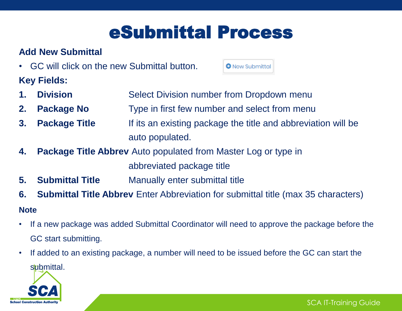## eSubmittal Process

**O** New Submittal

#### **Add New Submittal**

• GC will click on the new Submittal button.

**Key Fields:**

- **1. Division Select Division number from Dropdown menu**
- **2. Package No** Type in first few number and select from menu
- **3. Package Title** If its an existing package the title and abbreviation will be auto populated.
- **4. Package Title Abbrev** Auto populated from Master Log or type in abbreviated package title
- **5. Submittal Title** Manually enter submittal title
- **6. Submittal Title Abbrev** Enter Abbreviation for submittal title (max 35 characters)

#### **Note**

- If a new package was added Submittal Coordinator will need to approve the package before the GC start submitting.
- If added to an existing package, a number will need to be issued before the GC can start the

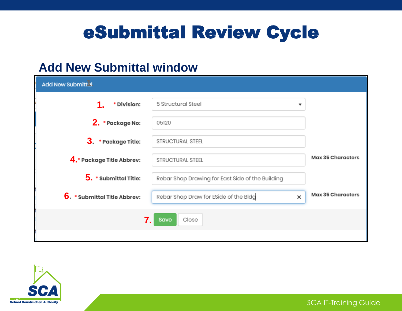## eSubmittal Review Cycle

### **Add New Submittal window**

| <b>Add New Submittul</b>     |                                                  |                          |
|------------------------------|--------------------------------------------------|--------------------------|
| * Division:                  | 5 Structural Steel<br>▼                          |                          |
| 2. * Package No:             | 05120                                            |                          |
| 3. * Package Title:          | STRUCTURAL STEEL                                 |                          |
| 4. * Package Title Abbrev:   | STRUCTURAL STEEL                                 | Max 35 Characters        |
| 5. * Submittal Title:        | Rebar Shop Drawing for East Side of the Building |                          |
| 6. * Submittal Title Abbrev: | Rebar Shop Draw for ESide of the Bldg<br>x       | <b>Max 35 Characters</b> |
| 7.                           | Close<br>Save                                    |                          |
|                              |                                                  |                          |

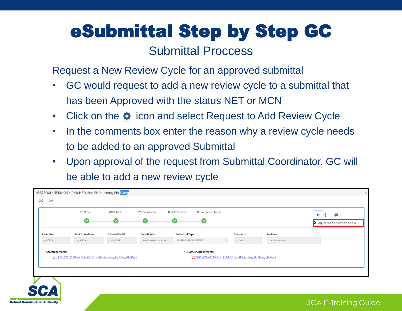# eSubmittal Step by Step GC

### Submittal Proccess

Request a New Review Cycle for an approved submittal

- GC would request to add a new review cycle to a submittal that has been Approved with the status NET or MCN
- Click on the  $\clubsuit$  icon and select Request to Add Review Cycle
- In the comments box enter the reason why a review cycle needs to be added to an approved Submittal
- Upon approval of the request from Submittal Coordinator, GC will be able to add a new review cycle

| <b>Sent To Reviewer</b><br>* Submittal Type<br><b>Forward To GC</b><br>Coordinator<br>Reviewer<br>Company<br>Per Spec/Basis of Design<br>6/11/2019<br>6/18/2019<br>Monica Lorza Alban<br>SCA-AE<br>Juan Escobar<br>* Reviewer Attachments:<br>2 15410-0017-002 (EAGLE) P-104-SD, 2nd Fir Plumbing Pin SDrwg (RES) pdf<br>2 15410-0017-002 (EAGLE) P-104-SD, 2nd Fir Plumbing Pin SDrwg (RES) pdf |                   | <b>GC</b> Create | <b>GC Submit</b> | PO/Coordinator | AEoR/PO Review<br>No Exceptions Taken |  | 臺<br>$(\mathbb{C})$<br>Request to add Review Cycle |
|--------------------------------------------------------------------------------------------------------------------------------------------------------------------------------------------------------------------------------------------------------------------------------------------------------------------------------------------------------------------------------------------------|-------------------|------------------|------------------|----------------|---------------------------------------|--|----------------------------------------------------|
|                                                                                                                                                                                                                                                                                                                                                                                                  | Submitted         |                  |                  |                |                                       |  |                                                    |
|                                                                                                                                                                                                                                                                                                                                                                                                  | 6/11/2019         |                  |                  |                |                                       |  |                                                    |
|                                                                                                                                                                                                                                                                                                                                                                                                  | * GC Attachments: |                  |                  |                |                                       |  |                                                    |

SCA IT-Training Guide

**School Construction Authority**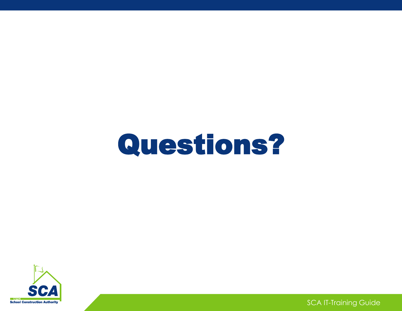